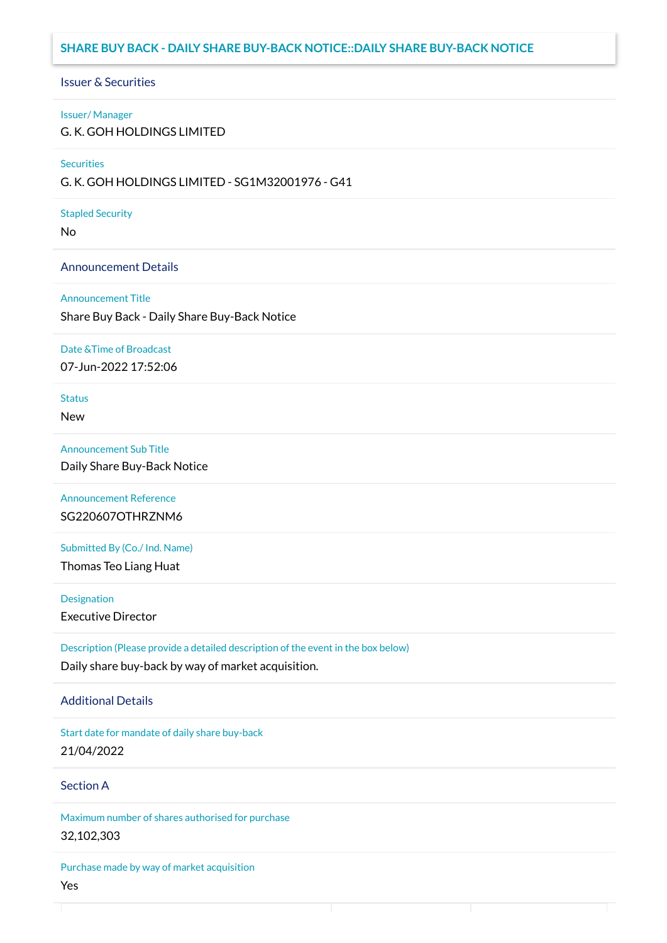# **SHARE BUY BACK - DAILY SHARE BUY-BACK NOTICE::DAILY SHARE BUY-BACK NOTICE**

## Issuer & Securities

### Issuer/ Manager

G. K. GOH HOLDINGS LIMITED

## **Securities**

G. K. GOH HOLDINGS LIMITED - SG1M32001976 - G41

### Stapled Security

No

## Announcement Details

#### Announcement Title

Share Buy Back - Daily Share Buy-Back Notice

### Date &Time of Broadcast

07-Jun-2022 17:52:06

# **Status**

New

## Announcement Sub Title

Daily Share Buy-Back Notice

# Announcement Reference SG220607OTHRZNM6

Submitted By (Co./ Ind. Name)

Thomas Teo Liang Huat

**Designation** 

Executive Director

Description (Please provide a detailed description of the event in the box below) Daily share buy-back by way of market acquisition.

## Additional Details

Start date for mandate of daily share buy-back 21/04/2022

# Section A

Maximum number of shares authorised for purchase 32,102,303

Purchase made by way of market acquisition Yes